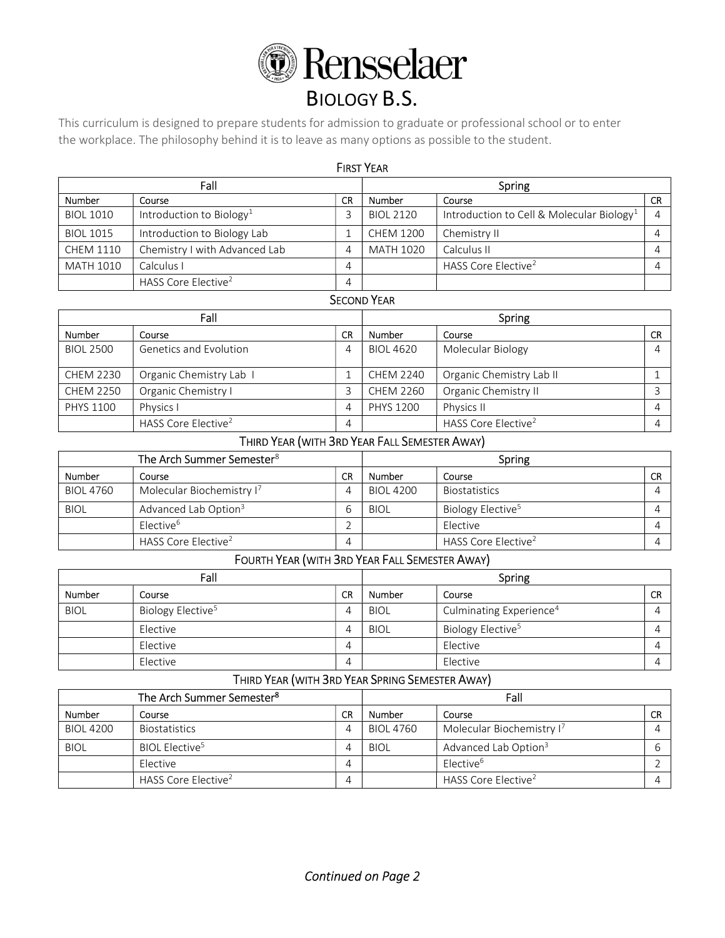

# BIOLOGY B.S.

This curriculum is designed to prepare students for admission to graduate or professional school or to enter the workplace. The philosophy behind it is to leave as many options as possible to the student.

| <b>FIRST YEAR</b> |                                      |           |                  |                                                       |           |  |
|-------------------|--------------------------------------|-----------|------------------|-------------------------------------------------------|-----------|--|
| Fall              |                                      |           | Spring           |                                                       |           |  |
| <b>Number</b>     | Course                               | <b>CR</b> | Number<br>Course |                                                       | <b>CR</b> |  |
| <b>BIOL 1010</b>  | Introduction to Biology <sup>1</sup> |           | <b>BIOL 2120</b> | Introduction to Cell & Molecular Biology <sup>1</sup> |           |  |
| <b>BIOL 1015</b>  | Introduction to Biology Lab          |           | <b>CHEM 1200</b> | Chemistry II                                          |           |  |
| <b>CHEM 1110</b>  | Chemistry I with Advanced Lab        | 4         | MATH 1020        | Calculus II                                           |           |  |
| <b>MATH 1010</b>  | Calculus I                           | 4         |                  | HASS Core Elective <sup>2</sup>                       |           |  |
|                   | HASS Core Elective <sup>2</sup>      | 4         |                  |                                                       |           |  |

## SECOND YEAR

| Fall             |                                 |           | Spring           |                                 |           |
|------------------|---------------------------------|-----------|------------------|---------------------------------|-----------|
| <b>Number</b>    | Course                          | <b>CR</b> | Number           | Course                          | <b>CR</b> |
| <b>BIOL 2500</b> | Genetics and Evolution          | 4         | <b>BIOL 4620</b> | Molecular Biology               |           |
| <b>CHEM 2230</b> | Organic Chemistry Lab 1         |           | <b>CHEM 2240</b> | Organic Chemistry Lab II        |           |
| <b>CHEM 2250</b> | Organic Chemistry I             |           | CHEM 2260        | Organic Chemistry II            |           |
| <b>PHYS 1100</b> | Physics I                       | 4         | <b>PHYS 1200</b> | Physics II                      |           |
|                  | HASS Core Elective <sup>2</sup> | 4         |                  | HASS Core Elective <sup>2</sup> |           |

## THIRD YEAR (WITH 3RD YEAR FALL SEMESTER AWAY)

| The Arch Summer Semester <sup>8</sup> |                                  |    | Spring           |                                 |           |
|---------------------------------------|----------------------------------|----|------------------|---------------------------------|-----------|
| Number                                | Course                           | CR | Number           | Course                          | <b>CR</b> |
| <b>BIOL 4760</b>                      | Molecular Biochemistry I'        |    | <b>BIOL 4200</b> | <b>Biostatistics</b>            |           |
| <b>BIOL</b>                           | Advanced Lab Option <sup>3</sup> |    | <b>BIOL</b>      | Biology Elective <sup>5</sup>   |           |
|                                       | Elective <sup>6</sup>            |    |                  | Elective                        |           |
|                                       | HASS Core Elective <sup>2</sup>  |    |                  | HASS Core Elective <sup>2</sup> |           |

## FOURTH YEAR (WITH 3RD YEAR FALL SEMESTER AWAY)

| Fall        |                               |           | Spring      |                                     |           |
|-------------|-------------------------------|-----------|-------------|-------------------------------------|-----------|
| Number      | Course                        | <b>CR</b> | Number      | Course                              | <b>CR</b> |
| <b>BIOL</b> | Biology Elective <sup>5</sup> | 4         | <b>BIOL</b> | Culminating Experience <sup>4</sup> |           |
|             | Elective                      | 4         | <b>BIOL</b> | Biology Elective <sup>5</sup>       |           |
|             | Elective                      | 4         |             | Elective                            |           |
|             | Elective                      | 4         |             | Elective                            |           |

# THIRD YEAR (WITH 3RD YEAR SPRING SEMESTER AWAY)

| The Arch Summer Semester <sup>8</sup> |                                 |    | Fall             |                                       |           |
|---------------------------------------|---------------------------------|----|------------------|---------------------------------------|-----------|
| Number                                | Course                          | CR | Number           | Course                                | <b>CR</b> |
| <b>BIOL 4200</b>                      | <b>Biostatistics</b>            | 4  | <b>BIOL 4760</b> | Molecular Biochemistry I <sup>7</sup> |           |
| <b>BIOL</b>                           | BIOL Elective <sup>5</sup>      |    | <b>BIOL</b>      | Advanced Lab Option <sup>3</sup>      |           |
|                                       | Elective                        | 4  |                  | Flective <sup>6</sup>                 |           |
|                                       | HASS Core Elective <sup>2</sup> | 4  |                  | HASS Core Elective <sup>2</sup>       |           |